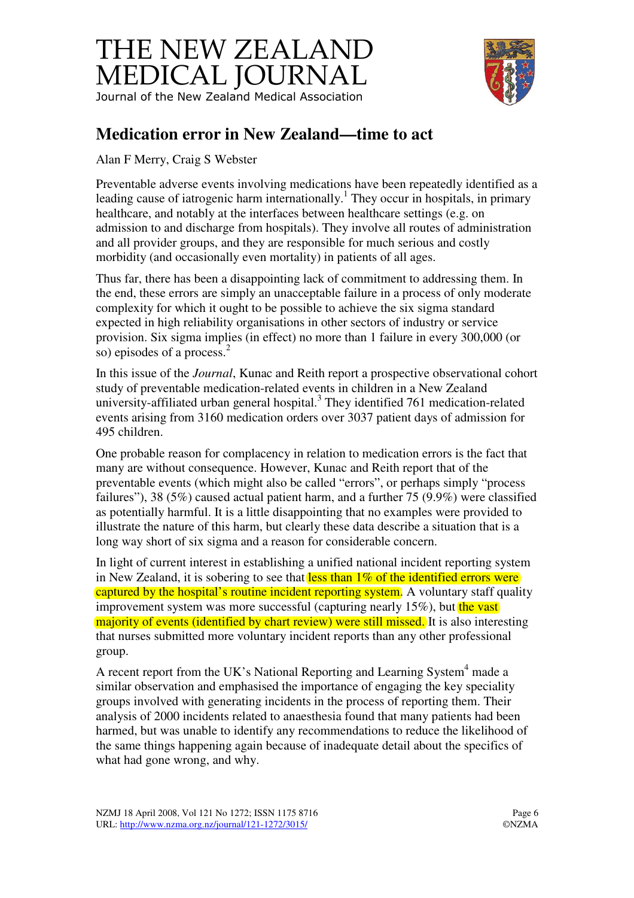## THE NEW ZEALAND MEDICAL JOURNAL Journal of the New Zealand Medical Association



## **Medication error in New Zealand—time to act**

Alan F Merry, Craig S Webster

Preventable adverse events involving medications have been repeatedly identified as a leading cause of iatrogenic harm internationally.<sup>1</sup> They occur in hospitals, in primary healthcare, and notably at the interfaces between healthcare settings (e.g. on admission to and discharge from hospitals). They involve all routes of administration and all provider groups, and they are responsible for much serious and costly morbidity (and occasionally even mortality) in patients of all ages.

Thus far, there has been a disappointing lack of commitment to addressing them. In the end, these errors are simply an unacceptable failure in a process of only moderate complexity for which it ought to be possible to achieve the six sigma standard expected in high reliability organisations in other sectors of industry or service provision. Six sigma implies (in effect) no more than 1 failure in every 300,000 (or so) episodes of a process. $2$ 

In this issue of the *Journal*, Kunac and Reith report a prospective observational cohort study of preventable medication-related events in children in a New Zealand university-affiliated urban general hospital. $3$  They identified 761 medication-related events arising from 3160 medication orders over 3037 patient days of admission for 495 children.

One probable reason for complacency in relation to medication errors is the fact that many are without consequence. However, Kunac and Reith report that of the preventable events (which might also be called "errors", or perhaps simply "process failures"), 38 (5%) caused actual patient harm, and a further 75 (9.9%) were classified as potentially harmful. It is a little disappointing that no examples were provided to illustrate the nature of this harm, but clearly these data describe a situation that is a long way short of six sigma and a reason for considerable concern.

In light of current interest in establishing a unified national incident reporting system in New Zealand, it is sobering to see that  $\frac{\text{less than } 1\% \text{ of the identified errors were}}{\text{of the identified errors}}$ captured by the hospital's routine incident reporting system. A voluntary staff quality improvement system was more successful (capturing nearly  $15\%$ ), but the vast majority of events (identified by chart review) were still missed. It is also interesting that nurses submitted more voluntary incident reports than any other professional group.

A recent report from the UK's National Reporting and Learning System<sup>4</sup> made a similar observation and emphasised the importance of engaging the key speciality groups involved with generating incidents in the process of reporting them. Their analysis of 2000 incidents related to anaesthesia found that many patients had been harmed, but was unable to identify any recommendations to reduce the likelihood of the same things happening again because of inadequate detail about the specifics of what had gone wrong, and why.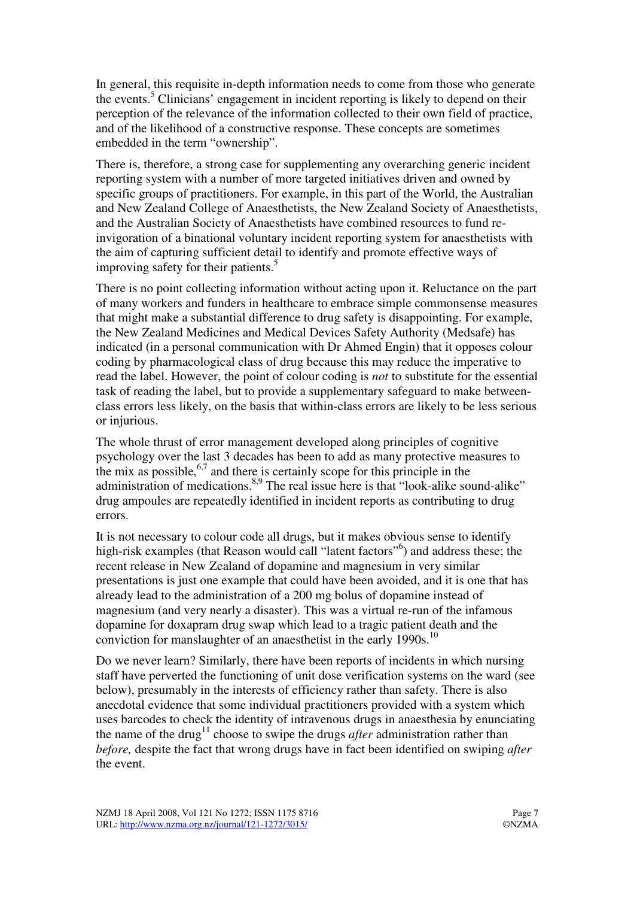In general, this requisite in-depth information needs to come from those who generate the events.<sup>5</sup> Clinicians' engagement in incident reporting is likely to depend on their perception of the relevance of the information collected to their own field of practice, and of the likelihood of a constructive response. These concepts are sometimes embedded in the term "ownership".

There is, therefore, a strong case for supplementing any overarching generic incident reporting system with a number of more targeted initiatives driven and owned by specific groups of practitioners. For example, in this part of the World, the Australian and New Zealand College of Anaesthetists, the New Zealand Society of Anaesthetists, and the Australian Society of Anaesthetists have combined resources to fund reinvigoration of a binational voluntary incident reporting system for anaesthetists with the aim of capturing sufficient detail to identify and promote effective ways of improving safety for their patients.<sup>5</sup>

There is no point collecting information without acting upon it. Reluctance on the part of many workers and funders in healthcare to embrace simple commonsense measures that might make a substantial difference to drug safety is disappointing. For example, the New Zealand Medicines and Medical Devices Safety Authority (Medsafe) has indicated (in a personal communication with Dr Ahmed Engin) that it opposes colour coding by pharmacological class of drug because this may reduce the imperative to read the label. However, the point of colour coding is *not* to substitute for the essential task of reading the label, but to provide a supplementary safeguard to make betweenclass errors less likely, on the basis that within-class errors are likely to be less serious or injurious.

The whole thrust of error management developed along principles of cognitive psychology over the last 3 decades has been to add as many protective measures to the mix as possible,  $6,7$  and there is certainly scope for this principle in the administration of medications.<sup>8,9</sup> The real issue here is that "look-alike sound-alike" drug ampoules are repeatedly identified in incident reports as contributing to drug errors.

It is not necessary to colour code all drugs, but it makes obvious sense to identify high-risk examples (that Reason would call "latent factors"<sup>6</sup>) and address these; the recent release in New Zealand of dopamine and magnesium in very similar presentations is just one example that could have been avoided, and it is one that has already lead to the administration of a 200 mg bolus of dopamine instead of magnesium (and very nearly a disaster). This was a virtual re-run of the infamous dopamine for doxapram drug swap which lead to a tragic patient death and the conviction for manslaughter of an anaesthetist in the early 1990s.<sup>10</sup>

Do we never learn? Similarly, there have been reports of incidents in which nursing staff have perverted the functioning of unit dose verification systems on the ward (see below), presumably in the interests of efficiency rather than safety. There is also anecdotal evidence that some individual practitioners provided with a system which uses barcodes to check the identity of intravenous drugs in anaesthesia by enunciating the name of the drug<sup>11</sup> choose to swipe the drugs *after* administration rather than *before,* despite the fact that wrong drugs have in fact been identified on swiping *after* the event.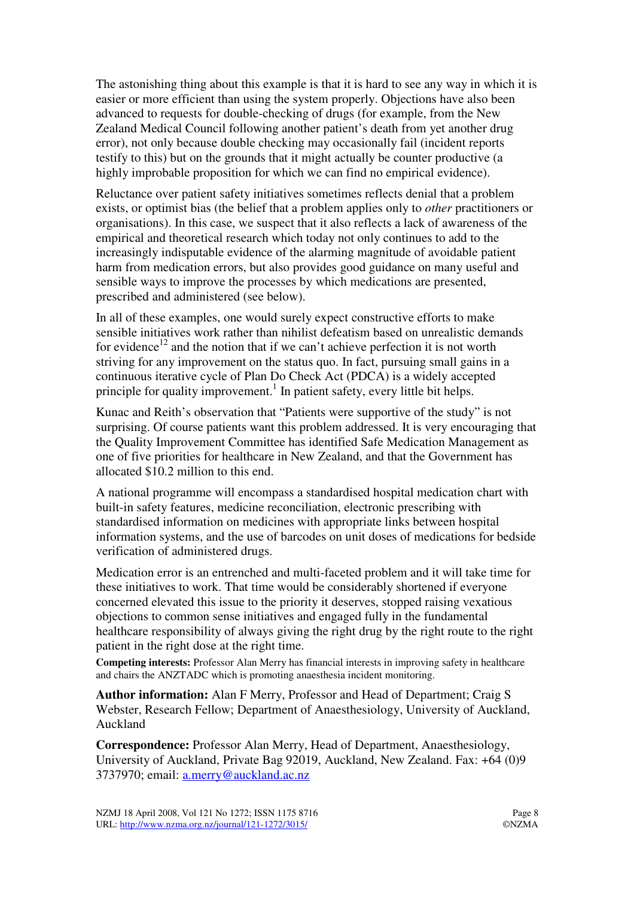The astonishing thing about this example is that it is hard to see any way in which it is easier or more efficient than using the system properly. Objections have also been advanced to requests for double-checking of drugs (for example, from the New Zealand Medical Council following another patient's death from yet another drug error), not only because double checking may occasionally fail (incident reports testify to this) but on the grounds that it might actually be counter productive (a highly improbable proposition for which we can find no empirical evidence).

Reluctance over patient safety initiatives sometimes reflects denial that a problem exists, or optimist bias (the belief that a problem applies only to *other* practitioners or organisations). In this case, we suspect that it also reflects a lack of awareness of the empirical and theoretical research which today not only continues to add to the increasingly indisputable evidence of the alarming magnitude of avoidable patient harm from medication errors, but also provides good guidance on many useful and sensible ways to improve the processes by which medications are presented, prescribed and administered (see below).

In all of these examples, one would surely expect constructive efforts to make sensible initiatives work rather than nihilist defeatism based on unrealistic demands for evidence<sup>12</sup> and the notion that if we can't achieve perfection it is not worth striving for any improvement on the status quo. In fact, pursuing small gains in a continuous iterative cycle of Plan Do Check Act (PDCA) is a widely accepted principle for quality improvement.<sup>1</sup> In patient safety, every little bit helps.

Kunac and Reith's observation that "Patients were supportive of the study" is not surprising. Of course patients want this problem addressed. It is very encouraging that the Quality Improvement Committee has identified Safe Medication Management as one of five priorities for healthcare in New Zealand, and that the Government has allocated \$10.2 million to this end.

A national programme will encompass a standardised hospital medication chart with built-in safety features, medicine reconciliation, electronic prescribing with standardised information on medicines with appropriate links between hospital information systems, and the use of barcodes on unit doses of medications for bedside verification of administered drugs.

Medication error is an entrenched and multi-faceted problem and it will take time for these initiatives to work. That time would be considerably shortened if everyone concerned elevated this issue to the priority it deserves, stopped raising vexatious objections to common sense initiatives and engaged fully in the fundamental healthcare responsibility of always giving the right drug by the right route to the right patient in the right dose at the right time.

**Competing interests:** Professor Alan Merry has financial interests in improving safety in healthcare and chairs the ANZTADC which is promoting anaesthesia incident monitoring.

**Author information:** Alan F Merry, Professor and Head of Department; Craig S Webster, Research Fellow; Department of Anaesthesiology, University of Auckland, Auckland

**Correspondence:** Professor Alan Merry, Head of Department, Anaesthesiology, University of Auckland, Private Bag 92019, Auckland, New Zealand. Fax: +64 (0)9 3737970; email: a.merry@auckland.ac.nz